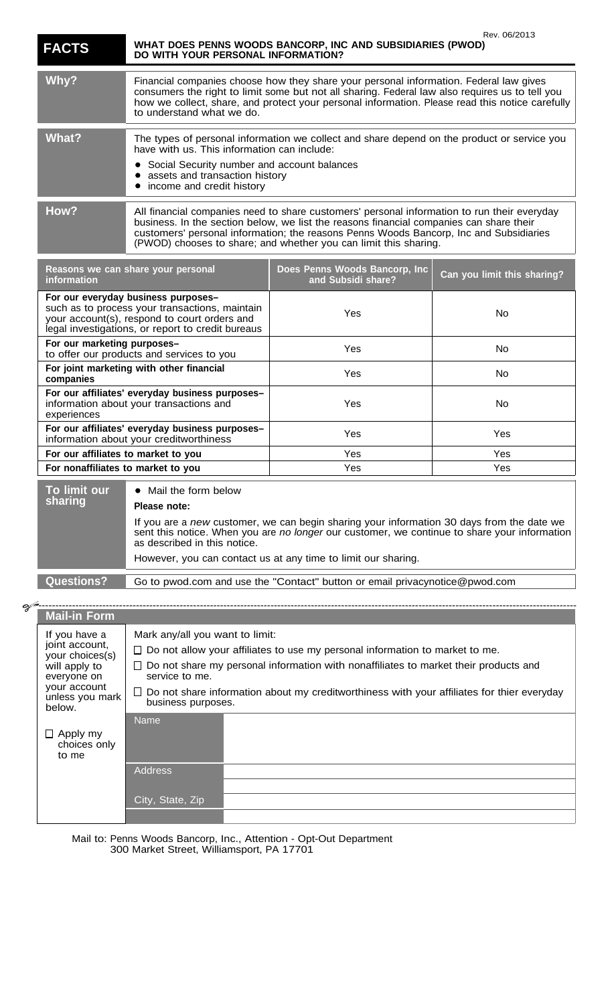| <b>FACTS</b> | Rev. Ub/ZUT3<br>WHAT DOES PENNS WOODS BANCORP, INC AND SUBSIDIARIES (PWOD)<br>DO WITH YOUR PERSONAL INFORMATION?                                                                                                                                                                                                                                     |
|--------------|------------------------------------------------------------------------------------------------------------------------------------------------------------------------------------------------------------------------------------------------------------------------------------------------------------------------------------------------------|
| Why?         | Financial companies choose how they share your personal information. Federal law gives<br>consumers the right to limit some but not all sharing. Federal law also requires us to tell you<br>how we collect, share, and protect your personal information. Please read this notice carefully<br>to understand what we do.                            |
| What?        | The types of personal information we collect and share depend on the product or service you<br>have with us. This information can include:<br>• Social Security number and account balances<br>• assets and transaction history<br>income and credit history                                                                                         |
| How?         | All financial companies need to share customers' personal information to run their everyday<br>business. In the section below, we list the reasons financial companies can share their<br>customers' personal information; the reasons Penns Woods Bancorp, Inc and Subsidiaries<br>(PWOD) chooses to share; and whether you can limit this sharing. |

 $80/0010$ 

| Reasons we can share your personal<br><i>information</i>                                                                                                                                   |                                                  | Does Penns Woods Bancorp, Inc<br>and Subsidi share?                                                                 | Can you limit this sharing? |
|--------------------------------------------------------------------------------------------------------------------------------------------------------------------------------------------|--------------------------------------------------|---------------------------------------------------------------------------------------------------------------------|-----------------------------|
| For our everyday business purposes-<br>such as to process your transactions, maintain<br>your account(s), respond to court orders and<br>legal investigations, or report to credit bureaus |                                                  | Yes                                                                                                                 | No.                         |
| For our marketing purposes-<br>to offer our products and services to you                                                                                                                   |                                                  | Yes                                                                                                                 | No.                         |
| For joint marketing with other financial<br>companies                                                                                                                                      |                                                  | <b>Yes</b>                                                                                                          | No.                         |
| For our affiliates' everyday business purposes-<br>information about your transactions and<br>experiences                                                                                  |                                                  | Yes                                                                                                                 | No.                         |
| For our affiliates' everyday business purposes-<br>information about your creditworthiness                                                                                                 |                                                  | Yes                                                                                                                 | Yes                         |
| For our affiliates to market to you                                                                                                                                                        |                                                  | Yes                                                                                                                 | Yes                         |
| For nonaffiliates to market to you                                                                                                                                                         |                                                  | <b>Yes</b>                                                                                                          | Yes                         |
| To limit our<br>sharing                                                                                                                                                                    | Mail the form below<br>$\bullet$<br>Please note: | If you are a mass contractor on the starter should construct information $\Omega$ . Hence force that shake $\alpha$ |                             |

If you are a new customer, we can begin sharing your information 30 days from the date we sent this notice. When you are no longer our customer, we continue to share your information as described in this notice.

However, you can contact us at any time to limit our sharing.

**Questions?** Go to pwod.com and use the "Contact" button or email privacynotice@pwod.com

| of -                                                                                                                            |                                                                                                                         |  |  |  |
|---------------------------------------------------------------------------------------------------------------------------------|-------------------------------------------------------------------------------------------------------------------------|--|--|--|
| <b>Mail-in Form</b>                                                                                                             |                                                                                                                         |  |  |  |
| If you have a<br>joint account,<br>your choices(s)<br>will apply to<br>everyone on<br>your account<br>unless you mark<br>below. | Mark any/all you want to limit:                                                                                         |  |  |  |
|                                                                                                                                 | $\Box$ Do not allow your affiliates to use my personal information to market to me.                                     |  |  |  |
|                                                                                                                                 | $\Box$ Do not share my personal information with nonaffiliates to market their products and<br>service to me.           |  |  |  |
|                                                                                                                                 | $\Box$ Do not share information about my creditworthiness with your affiliates for thier everyday<br>business purposes. |  |  |  |
|                                                                                                                                 | <b>Name</b>                                                                                                             |  |  |  |
| $\Box$ Apply my<br>choices only<br>to me                                                                                        |                                                                                                                         |  |  |  |
|                                                                                                                                 | <b>Address</b>                                                                                                          |  |  |  |
|                                                                                                                                 |                                                                                                                         |  |  |  |
|                                                                                                                                 | City, State, Zip                                                                                                        |  |  |  |
|                                                                                                                                 |                                                                                                                         |  |  |  |

Mail to: Penns Woods Bancorp, Inc., Attention - Opt-Out Department 300 Market Street, Williamsport, PA 17701